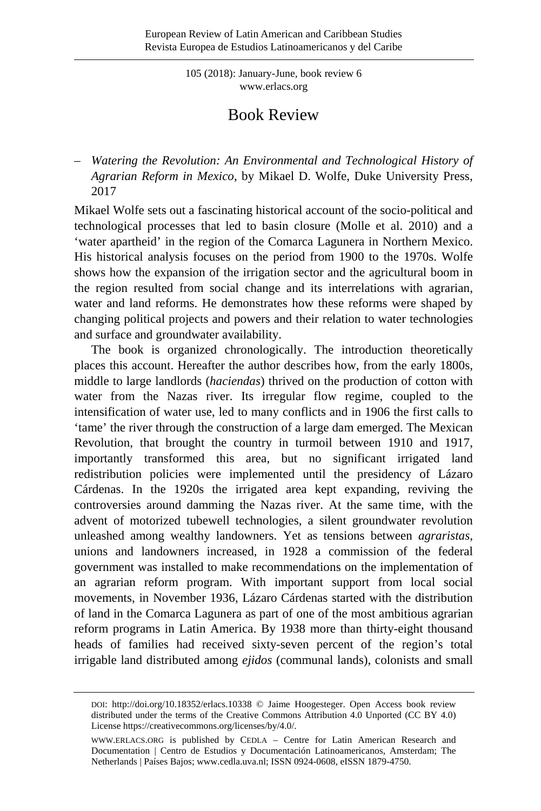105 (2018): January-June, book review 6 [www.erlacs.org](http://www.erlacs.org/)

## Book Review

– *Watering the Revolution: An Environmental and Technological History of Agrarian Reform in Mexico*, by Mikael D. Wolfe, Duke University Press, 2017

Mikael Wolfe sets out a fascinating historical account of the socio-political and technological processes that led to basin closure (Molle et al. 2010) and a 'water apartheid' in the region of the Comarca Lagunera in Northern Mexico. His historical analysis focuses on the period from 1900 to the 1970s. Wolfe shows how the expansion of the irrigation sector and the agricultural boom in the region resulted from social change and its interrelations with agrarian, water and land reforms. He demonstrates how these reforms were shaped by changing political projects and powers and their relation to water technologies and surface and groundwater availability.

The book is organized chronologically. The introduction theoretically places this account. Hereafter the author describes how, from the early 1800s, middle to large landlords (*haciendas*) thrived on the production of cotton with water from the Nazas river. Its irregular flow regime, coupled to the intensification of water use, led to many conflicts and in 1906 the first calls to 'tame' the river through the construction of a large dam emerged. The Mexican Revolution, that brought the country in turmoil between 1910 and 1917, importantly transformed this area, but no significant irrigated land redistribution policies were implemented until the presidency of Lázaro Cárdenas. In the 1920s the irrigated area kept expanding, reviving the controversies around damming the Nazas river. At the same time, with the advent of motorized tubewell technologies, a silent groundwater revolution unleashed among wealthy landowners. Yet as tensions between *agraristas*, unions and landowners increased, in 1928 a commission of the federal government was installed to make recommendations on the implementation of an agrarian reform program. With important support from local social movements, in November 1936, Lázaro Cárdenas started with the distribution of land in the Comarca Lagunera as part of one of the most ambitious agrarian reform programs in Latin America. By 1938 more than thirty-eight thousand heads of families had received sixty-seven percent of the region's total irrigable land distributed among *ejidos* (communal lands), colonists and small

DOI:<http://doi.org/10.18352/erlacs.10338> © Jaime Hoogesteger. Open Access book review distributed under the terms of the Creative Commons Attribution 4.0 Unported (CC BY 4.0) Licens[e https://creativecommons.org/licenses/by/4.0/.](https://creativecommons.org/licenses/by/4.0/) 

[WWW.ERLACS.ORG](http://www.erlacs.org/) is published by CEDLA – Centre for Latin American Research and Documentation | Centro de Estudios y Documentación Latinoamericanos, Amsterdam; The Netherlands | Países Bajos[; www.cedla.uva.nl;](http://www.cedla.uva.nl/) ISSN 0924-0608, eISSN 1879-4750.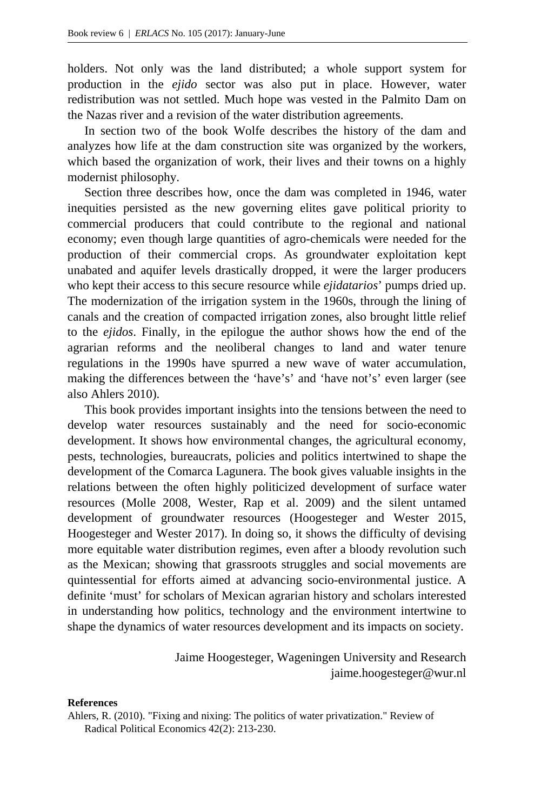holders. Not only was the land distributed; a whole support system for production in the *ejido* sector was also put in place. However, water redistribution was not settled. Much hope was vested in the Palmito Dam on the Nazas river and a revision of the water distribution agreements.

In section two of the book Wolfe describes the history of the dam and analyzes how life at the dam construction site was organized by the workers, which based the organization of work, their lives and their towns on a highly modernist philosophy.

Section three describes how, once the dam was completed in 1946, water inequities persisted as the new governing elites gave political priority to commercial producers that could contribute to the regional and national economy; even though large quantities of agro-chemicals were needed for the production of their commercial crops. As groundwater exploitation kept unabated and aquifer levels drastically dropped, it were the larger producers who kept their access to this secure resource while *ejidatarios*' pumps dried up. The modernization of the irrigation system in the 1960s, through the lining of canals and the creation of compacted irrigation zones, also brought little relief to the *ejidos*. Finally, in the epilogue the author shows how the end of the agrarian reforms and the neoliberal changes to land and water tenure regulations in the 1990s have spurred a new wave of water accumulation, making the differences between the 'have's' and 'have not's' even larger (see also Ahlers 2010).

This book provides important insights into the tensions between the need to develop water resources sustainably and the need for socio-economic development. It shows how environmental changes, the agricultural economy, pests, technologies, bureaucrats, policies and politics intertwined to shape the development of the Comarca Lagunera. The book gives valuable insights in the relations between the often highly politicized development of surface water resources (Molle 2008, Wester, Rap et al. 2009) and the silent untamed development of groundwater resources (Hoogesteger and Wester 2015, Hoogesteger and Wester 2017). In doing so, it shows the difficulty of devising more equitable water distribution regimes, even after a bloody revolution such as the Mexican; showing that grassroots struggles and social movements are quintessential for efforts aimed at advancing socio-environmental justice. A definite 'must' for scholars of Mexican agrarian history and scholars interested in understanding how politics, technology and the environment intertwine to shape the dynamics of water resources development and its impacts on society.

> Jaime Hoogesteger, Wageningen University and Research jaime.hoogesteger@wur.nl

## **References**

Ahlers, R. (2010). "Fixing and nixing: The politics of water privatization." Review of Radical Political Economics 42(2): 213-230.